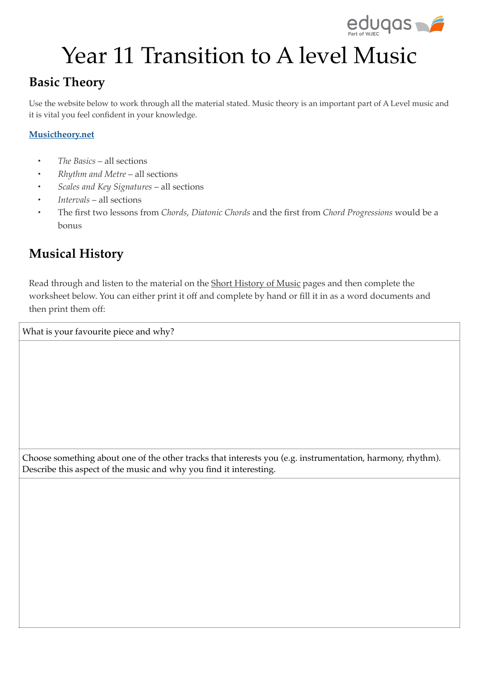

# Year 11 Transition to A level Music

## **Basic Theory**

Use the website below to work through all the material stated. Music theory is an important part of A Level music and it is vital you feel confident in your knowledge.

#### **Musictheory.net**

- *The Basics* all sections
- *Rhythm and Metre* all sections
- *Scales and Key Signatures* all sections
- *Intervals* all sections
- The first two lessons from *Chords*, *Diatonic Chords* and the first from *Chord Progressions* would be a bonus

## **Musical History**

Read through and listen to the material on the Short History of Music pages and then complete the worksheet below. You can either print it off and complete by hand or fill it in as a word documents and then print them off:

What is your favourite piece and why?

Choose something about one of the other tracks that interests you (e.g. instrumentation, harmony, rhythm). Describe this aspect of the music and why you find it interesting.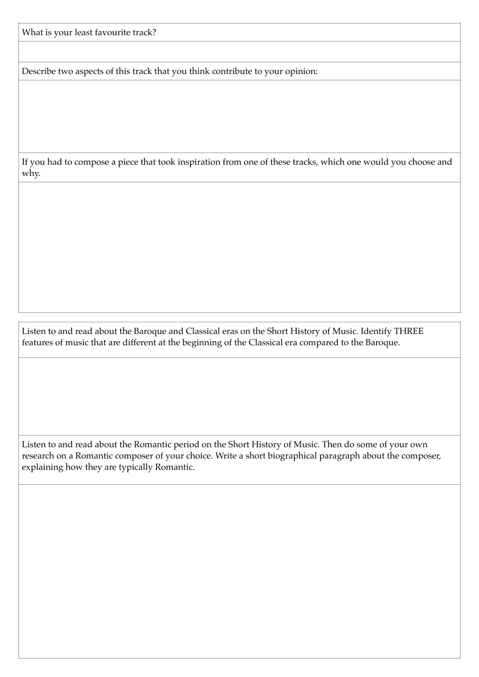What is your least favourite track?

Describe two aspects of this track that you think contribute to your opinion:

If you had to compose a piece that took inspiration from one of these tracks, which one would you choose and why.

Listen to and read about the Baroque and Classical eras on the Short History of Music. Identify THREE features of music that are different at the beginning of the Classical era compared to the Baroque.

Listen to and read about the Romantic period on the Short History of Music. Then do some of your own research on a Romantic composer of your choice. Write a short biographical paragraph about the composer, explaining how they are typically Romantic.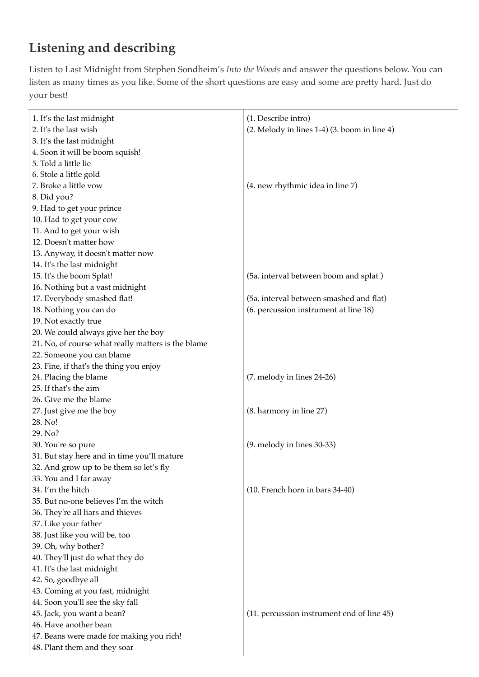## **Listening and describing**

Listen to Last Midnight from Stephen Sondheim's *Into the Woods* and answer the questions below. You can listen as many times as you like. Some of the short questions are easy and some are pretty hard. Just do your best!

| 1. It's the last midnight                          | (1. Describe intro)                                 |
|----------------------------------------------------|-----------------------------------------------------|
| 2. It's the last wish                              | $(2.$ Melody in lines 1-4 $)(3.$ boom in line 4 $)$ |
| 3. It's the last midnight                          |                                                     |
| 4. Soon it will be boom squish!                    |                                                     |
| 5. Told a little lie                               |                                                     |
| 6. Stole a little gold                             |                                                     |
| 7. Broke a little vow                              | (4. new rhythmic idea in line 7)                    |
| 8. Did you?                                        |                                                     |
| 9. Had to get your prince                          |                                                     |
| 10. Had to get your cow                            |                                                     |
| 11. And to get your wish                           |                                                     |
| 12. Doesn't matter how                             |                                                     |
| 13. Anyway, it doesn't matter now                  |                                                     |
| 14. It's the last midnight                         |                                                     |
| 15. It's the boom Splat!                           | (5a. interval between boom and splat)               |
| 16. Nothing but a vast midnight                    |                                                     |
| 17. Everybody smashed flat!                        | (5a. interval between smashed and flat)             |
| 18. Nothing you can do                             | (6. percussion instrument at line 18)               |
| 19. Not exactly true                               |                                                     |
| 20. We could always give her the boy               |                                                     |
| 21. No, of course what really matters is the blame |                                                     |
| 22. Someone you can blame                          |                                                     |
| 23. Fine, if that's the thing you enjoy            |                                                     |
| 24. Placing the blame                              | (7. melody in lines 24-26)                          |
| 25. If that's the aim                              |                                                     |
| 26. Give me the blame                              |                                                     |
| 27. Just give me the boy                           | (8. harmony in line 27)                             |
| 28. No!                                            |                                                     |
| 29. No?                                            |                                                     |
| 30. You're so pure                                 | $(9.$ melody in lines $30-33$ )                     |
| 31. But stay here and in time you'll mature        |                                                     |
| 32. And grow up to be them so let's fly            |                                                     |
| 33. You and I far away                             |                                                     |
| 34. I'm the hitch                                  | (10. French horn in bars 34-40)                     |
| 35. But no-one believes I'm the witch              |                                                     |
| 36. They're all liars and thieves                  |                                                     |
| 37. Like your father                               |                                                     |
| 38. Just like you will be, too                     |                                                     |
| 39. Oh, why bother?                                |                                                     |
| 40. They'll just do what they do                   |                                                     |
| 41. It's the last midnight                         |                                                     |
| 42. So, goodbye all                                |                                                     |
| 43. Coming at you fast, midnight                   |                                                     |
| 44. Soon you'll see the sky fall                   |                                                     |
| 45. Jack, you want a bean?                         | (11. percussion instrument end of line 45)          |
| 46. Have another bean                              |                                                     |
| 47. Beans were made for making you rich!           |                                                     |
| 48. Plant them and they soar                       |                                                     |
|                                                    |                                                     |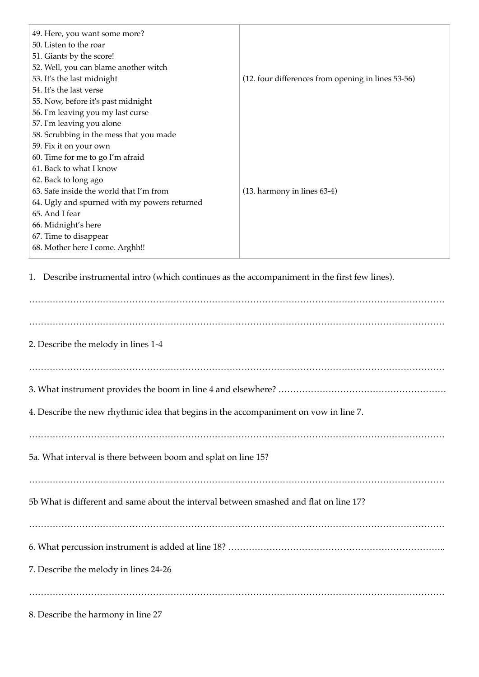| 49. Here, you want some more?                                                                 |                                                    |  |
|-----------------------------------------------------------------------------------------------|----------------------------------------------------|--|
| 50. Listen to the roar                                                                        |                                                    |  |
| 51. Giants by the score!                                                                      |                                                    |  |
| 52. Well, you can blame another witch                                                         |                                                    |  |
| 53. It's the last midnight                                                                    | (12. four differences from opening in lines 53-56) |  |
| 54. It's the last verse                                                                       |                                                    |  |
| 55. Now, before it's past midnight                                                            |                                                    |  |
| 56. I'm leaving you my last curse                                                             |                                                    |  |
| 57. I'm leaving you alone                                                                     |                                                    |  |
| 58. Scrubbing in the mess that you made                                                       |                                                    |  |
| 59. Fix it on your own                                                                        |                                                    |  |
| 60. Time for me to go I'm afraid                                                              |                                                    |  |
| 61. Back to what I know                                                                       |                                                    |  |
| 62. Back to long ago                                                                          |                                                    |  |
| 63. Safe inside the world that I'm from                                                       | (13. harmony in lines 63-4)                        |  |
| 64. Ugly and spurned with my powers returned                                                  |                                                    |  |
| 65. And I fear                                                                                |                                                    |  |
| 66. Midnight's here                                                                           |                                                    |  |
| 67. Time to disappear                                                                         |                                                    |  |
| 68. Mother here I come. Arghh!!                                                               |                                                    |  |
| 1. Describe instrumental intro (which continues as the accompaniment in the first few lines). |                                                    |  |
| 2. Describe the melody in lines 1-4                                                           |                                                    |  |
|                                                                                               |                                                    |  |

4. Describe the new rhythmic idea that begins in the accompaniment on vow in line 7.

……………………………………………………………………………………………………………………………

5a. What interval is there between boom and splat on line 15?

……………………………………………………………………………………………………………………………

5b What is different and same about the interval between smashed and flat on line 17?

…………………………………………………………………………………………………………………………… 6. What percussion instrument is added at line 18? ………………………………………………………………..

7. Describe the melody in lines 24-26

……………………………………………………………………………………………………………………………

8. Describe the harmony in line 27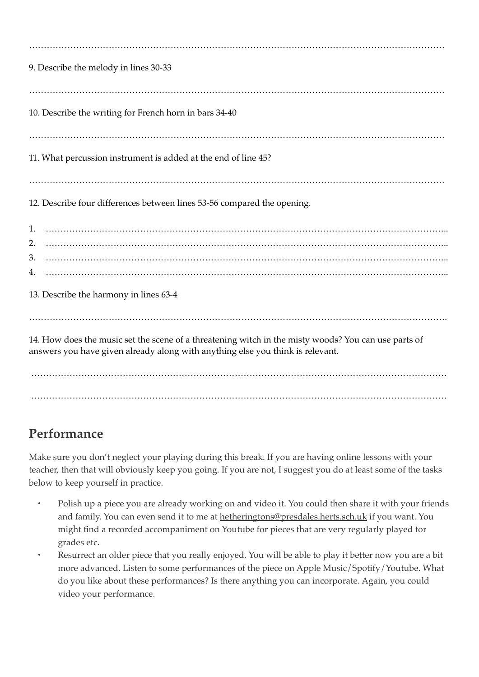| 9. Describe the melody in lines 30-33                                                                                                                                                  |
|----------------------------------------------------------------------------------------------------------------------------------------------------------------------------------------|
|                                                                                                                                                                                        |
| 10. Describe the writing for French horn in bars 34-40                                                                                                                                 |
|                                                                                                                                                                                        |
| 11. What percussion instrument is added at the end of line 45?                                                                                                                         |
|                                                                                                                                                                                        |
| 12. Describe four differences between lines 53-56 compared the opening.                                                                                                                |
| 1.<br>$\overline{a}$ , and a component component component component component component component component component                                                                 |
| 2.                                                                                                                                                                                     |
| 3.                                                                                                                                                                                     |
| 4.                                                                                                                                                                                     |
| 13. Describe the harmony in lines 63-4                                                                                                                                                 |
|                                                                                                                                                                                        |
| 14. How does the music set the scene of a threatening witch in the misty woods? You can use parts of<br>answers you have given already along with anything else you think is relevant. |

 …………………………………………………………………………………………………………………………… ……………………………………………………………………………………………………………………………

## **Performance**

Make sure you don't neglect your playing during this break. If you are having online lessons with your teacher, then that will obviously keep you going. If you are not, I suggest you do at least some of the tasks below to keep yourself in practice.

- Polish up a piece you are already working on and video it. You could then share it with your friends and family. You can even send it to me at hetheringtons@presdales.herts.sch.uk if you want. You might find a recorded accompaniment on Youtube for pieces that are very regularly played for grades etc.
- Resurrect an older piece that you really enjoyed. You will be able to play it better now you are a bit more advanced. Listen to some performances of the piece on Apple Music/Spotify/Youtube. What do you like about these performances? Is there anything you can incorporate. Again, you could video your performance.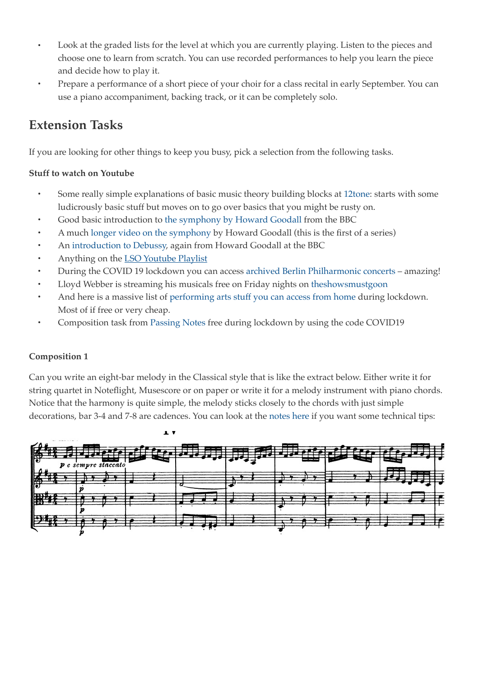- Look at the graded lists for the level at which you are currently playing. Listen to the pieces and choose one to learn from scratch. You can use recorded performances to help you learn the piece and decide how to play it.
- Prepare a performance of a short piece of your choir for a class recital in early September. You can use a piano accompaniment, backing track, or it can be completely solo.

### **Extension Tasks**

If you are looking for other things to keep you busy, pick a selection from the following tasks.

#### **Stuff to watch on Youtube**

- Some really simple explanations of basic music theory building blocks at 12tone: starts with some ludicrously basic stuff but moves on to go over basics that you might be rusty on.
- Good basic introduction to the symphony by Howard Goodall from the BBC
- A much longer video on the symphony by Howard Goodall (this is the first of a series)
- An introduction to Debussy, again from Howard Goodall at the BBC
- Anything on the **LSO Youtube Playlist**
- During the COVID 19 lockdown you can access archived Berlin Philharmonic concerts amazing!
- Lloyd Webber is streaming his musicals free on Friday nights on theshowsmustgoon
- And here is a massive list of performing arts stuff you can access from home during lockdown. Most of if free or very cheap.
- Composition task from Passing Notes free during lockdown by using the code COVID19

#### **Composition 1**

Can you write an eight-bar melody in the Classical style that is like the extract below. Either write it for string quartet in Noteflight, Musescore or on paper or write it for a melody instrument with piano chords. Notice that the harmony is quite simple, the melody sticks closely to the chords with just simple decorations, bar 3-4 and 7-8 are cadences. You can look at the notes here if you want some technical tips: